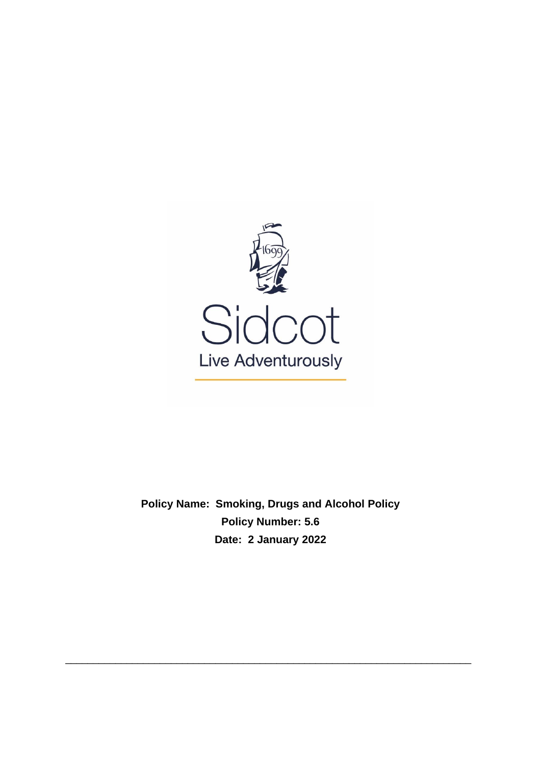

**Policy Name: Smoking, Drugs and Alcohol Policy Policy Number: 5.6 Date: 2 January 2022**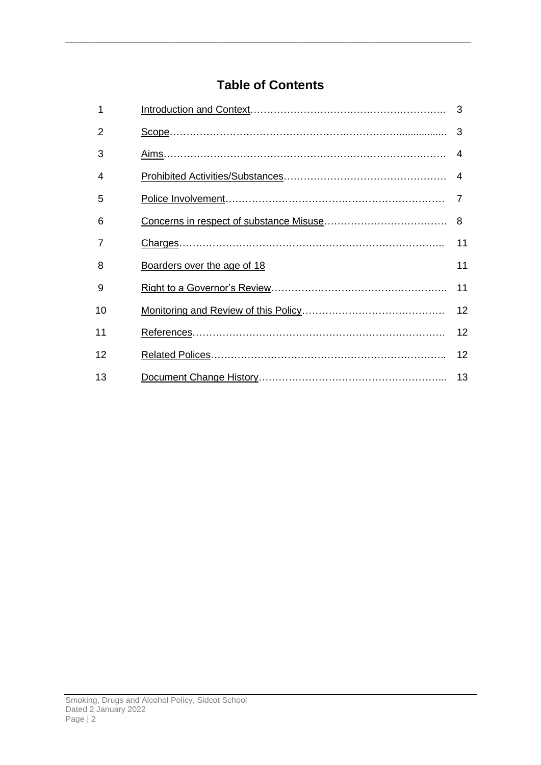# **Table of Contents**

| 1  |                             | 3              |
|----|-----------------------------|----------------|
| 2  |                             | 3              |
| 3  |                             | 4              |
| 4  |                             | 4              |
| 5  |                             | $\overline{7}$ |
| 6  |                             | 8              |
|    |                             | 11             |
| 8  | Boarders over the age of 18 | 11             |
| 9  |                             | 11             |
| 10 |                             | 12             |
| 11 |                             | 12             |
| 12 |                             | 12             |
| 13 |                             | 13             |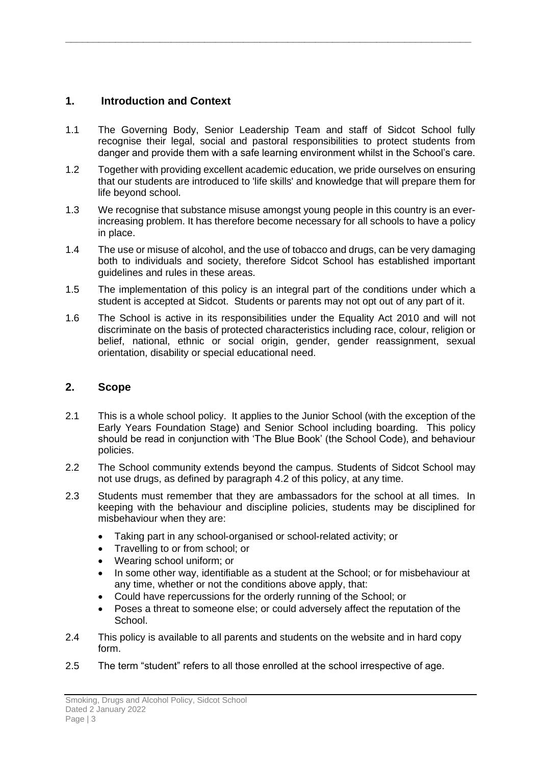### <span id="page-2-0"></span>**1. Introduction and Context**

1.1 The Governing Body, Senior Leadership Team and staff of Sidcot School fully recognise their legal, social and pastoral responsibilities to protect students from danger and provide them with a safe learning environment whilst in the School's care.

**\_\_\_\_\_\_\_\_\_\_\_\_\_\_\_\_\_\_\_\_\_\_\_\_\_\_\_\_\_\_\_\_\_\_\_\_\_\_\_\_\_\_\_\_\_\_\_\_\_\_\_\_\_\_\_\_\_\_\_\_\_\_\_\_\_\_\_\_\_\_\_\_\_**

- 1.2 Together with providing excellent academic education, we pride ourselves on ensuring that our students are introduced to 'life skills' and knowledge that will prepare them for life beyond school.
- 1.3 We recognise that substance misuse amongst young people in this country is an everincreasing problem. It has therefore become necessary for all schools to have a policy in place.
- 1.4 The use or misuse of alcohol, and the use of tobacco and drugs, can be very damaging both to individuals and society, therefore Sidcot School has established important guidelines and rules in these areas.
- 1.5 The implementation of this policy is an integral part of the conditions under which a student is accepted at Sidcot. Students or parents may not opt out of any part of it.
- 1.6 The School is active in its responsibilities under the Equality Act 2010 and will not discriminate on the basis of protected characteristics including race, colour, religion or belief, national, ethnic or social origin, gender, gender reassignment, sexual orientation, disability or special educational need.

### <span id="page-2-1"></span>**2. Scope**

- 2.1 This is a whole school policy. It applies to the Junior School (with the exception of the Early Years Foundation Stage) and Senior School including boarding. This policy should be read in conjunction with 'The Blue Book' (the School Code), and behaviour policies.
- 2.2 The School community extends beyond the campus. Students of Sidcot School may not use drugs, as defined by paragraph 4.2 of this policy, at any time.
- 2.3 Students must remember that they are ambassadors for the school at all times. In keeping with the behaviour and discipline policies, students may be disciplined for misbehaviour when they are:
	- Taking part in any school-organised or school-related activity; or
	- Travelling to or from school; or
	- Wearing school uniform; or
	- In some other way, identifiable as a student at the School; or for misbehaviour at any time, whether or not the conditions above apply, that:
	- Could have repercussions for the orderly running of the School; or
	- Poses a threat to someone else; or could adversely affect the reputation of the School.
- 2.4 This policy is available to all parents and students on the website and in hard copy form.
- 2.5 The term "student" refers to all those enrolled at the school irrespective of age.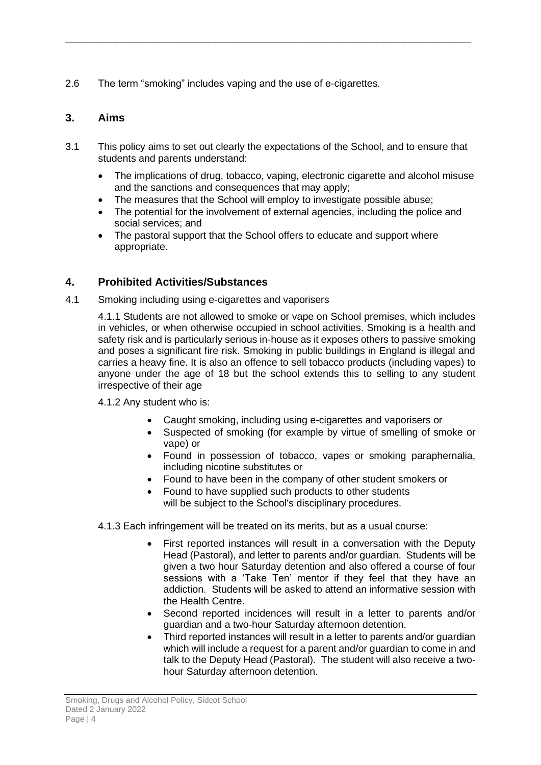2.6 The term "smoking" includes vaping and the use of e-cigarettes.

### <span id="page-3-0"></span>**3. Aims**

3.1 This policy aims to set out clearly the expectations of the School, and to ensure that students and parents understand:

**\_\_\_\_\_\_\_\_\_\_\_\_\_\_\_\_\_\_\_\_\_\_\_\_\_\_\_\_\_\_\_\_\_\_\_\_\_\_\_\_\_\_\_\_\_\_\_\_\_\_\_\_\_\_\_\_\_\_\_\_\_\_\_\_\_\_\_\_\_\_\_\_\_**

- The implications of drug, tobacco, vaping, electronic cigarette and alcohol misuse and the sanctions and consequences that may apply;
- The measures that the School will employ to investigate possible abuse;
- The potential for the involvement of external agencies, including the police and social services; and
- The pastoral support that the School offers to educate and support where appropriate.

### <span id="page-3-1"></span>**4. Prohibited Activities/Substances**

4.1 Smoking including using e-cigarettes and vaporisers

4.1.1 Students are not allowed to smoke or vape on School premises, which includes in vehicles, or when otherwise occupied in school activities. Smoking is a health and safety risk and is particularly serious in-house as it exposes others to passive smoking and poses a significant fire risk. Smoking in public buildings in England is illegal and carries a heavy fine. It is also an offence to sell tobacco products (including vapes) to anyone under the age of 18 but the school extends this to selling to any student irrespective of their age

4.1.2 Any student who is:

- Caught smoking, including using e-cigarettes and vaporisers or
- Suspected of smoking (for example by virtue of smelling of smoke or vape) or
- Found in possession of tobacco, vapes or smoking paraphernalia, including nicotine substitutes or
- Found to have been in the company of other student smokers or
- Found to have supplied such products to other students will be subject to the School's disciplinary procedures.
- 4.1.3 Each infringement will be treated on its merits, but as a usual course:
	- First reported instances will result in a conversation with the Deputy Head (Pastoral), and letter to parents and/or guardian. Students will be given a two hour Saturday detention and also offered a course of four sessions with a 'Take Ten' mentor if they feel that they have an addiction. Students will be asked to attend an informative session with the Health Centre.
	- Second reported incidences will result in a letter to parents and/or guardian and a two-hour Saturday afternoon detention.
	- Third reported instances will result in a letter to parents and/or guardian which will include a request for a parent and/or guardian to come in and talk to the Deputy Head (Pastoral). The student will also receive a twohour Saturday afternoon detention.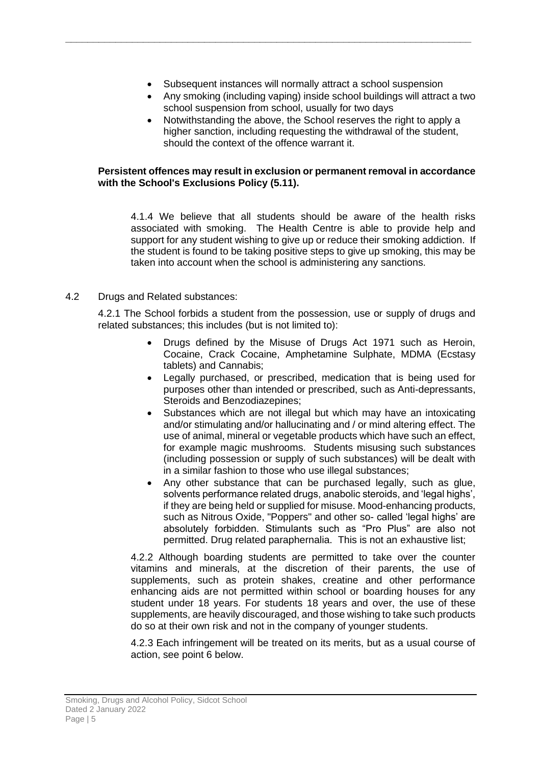Subsequent instances will normally attract a school suspension

**\_\_\_\_\_\_\_\_\_\_\_\_\_\_\_\_\_\_\_\_\_\_\_\_\_\_\_\_\_\_\_\_\_\_\_\_\_\_\_\_\_\_\_\_\_\_\_\_\_\_\_\_\_\_\_\_\_\_\_\_\_\_\_\_\_\_\_\_\_\_\_\_\_**

- Any smoking (including vaping) inside school buildings will attract a two school suspension from school, usually for two days
- Notwithstanding the above, the School reserves the right to apply a higher sanction, including requesting the withdrawal of the student, should the context of the offence warrant it.

#### **Persistent offences may result in exclusion or permanent removal in accordance with the School's Exclusions Policy (5.11).**

4.1.4 We believe that all students should be aware of the health risks associated with smoking. The Health Centre is able to provide help and support for any student wishing to give up or reduce their smoking addiction. If the student is found to be taking positive steps to give up smoking, this may be taken into account when the school is administering any sanctions.

#### 4.2 Drugs and Related substances:

4.2.1 The School forbids a student from the possession, use or supply of drugs and related substances; this includes (but is not limited to):

- Drugs defined by the Misuse of Drugs Act 1971 such as Heroin, Cocaine, Crack Cocaine, Amphetamine Sulphate, MDMA (Ecstasy tablets) and Cannabis;
- Legally purchased, or prescribed, medication that is being used for purposes other than intended or prescribed, such as Anti-depressants, Steroids and Benzodiazepines;
- Substances which are not illegal but which may have an intoxicating and/or stimulating and/or hallucinating and / or mind altering effect. The use of animal, mineral or vegetable products which have such an effect, for example magic mushrooms. Students misusing such substances (including possession or supply of such substances) will be dealt with in a similar fashion to those who use illegal substances;
- Any other substance that can be purchased legally, such as glue, solvents performance related drugs, anabolic steroids, and 'legal highs'. if they are being held or supplied for misuse. Mood-enhancing products, such as Nitrous Oxide, "Poppers" and other so- called 'legal highs' are absolutely forbidden. Stimulants such as "Pro Plus" are also not permitted. Drug related paraphernalia. This is not an exhaustive list;

4.2.2 Although boarding students are permitted to take over the counter vitamins and minerals, at the discretion of their parents, the use of supplements, such as protein shakes, creatine and other performance enhancing aids are not permitted within school or boarding houses for any student under 18 years. For students 18 years and over, the use of these supplements, are heavily discouraged, and those wishing to take such products do so at their own risk and not in the company of younger students.

4.2.3 Each infringement will be treated on its merits, but as a usual course of action, see point 6 below.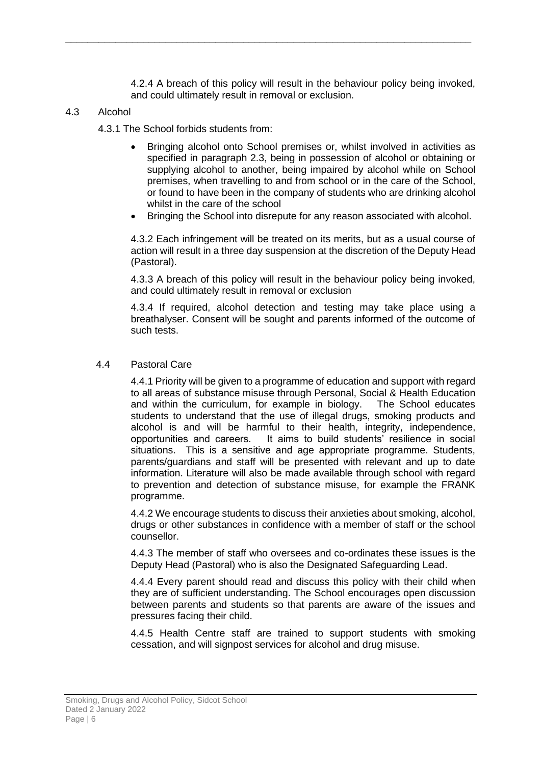4.2.4 A breach of this policy will result in the behaviour policy being invoked, and could ultimately result in removal or exclusion.

**\_\_\_\_\_\_\_\_\_\_\_\_\_\_\_\_\_\_\_\_\_\_\_\_\_\_\_\_\_\_\_\_\_\_\_\_\_\_\_\_\_\_\_\_\_\_\_\_\_\_\_\_\_\_\_\_\_\_\_\_\_\_\_\_\_\_\_\_\_\_\_\_\_**

#### 4.3 Alcohol

4.3.1 The School forbids students from:

- Bringing alcohol onto School premises or, whilst involved in activities as specified in paragraph 2.3, being in possession of alcohol or obtaining or supplying alcohol to another, being impaired by alcohol while on School premises, when travelling to and from school or in the care of the School, or found to have been in the company of students who are drinking alcohol whilst in the care of the school
- Bringing the School into disrepute for any reason associated with alcohol.

4.3.2 Each infringement will be treated on its merits, but as a usual course of action will result in a three day suspension at the discretion of the Deputy Head (Pastoral).

4.3.3 A breach of this policy will result in the behaviour policy being invoked, and could ultimately result in removal or exclusion

4.3.4 If required, alcohol detection and testing may take place using a breathalyser. Consent will be sought and parents informed of the outcome of such tests.

#### 4.4 Pastoral Care

4.4.1 Priority will be given to a programme of education and support with regard to all areas of substance misuse through Personal, Social & Health Education and within the curriculum, for example in biology. The School educates students to understand that the use of illegal drugs, smoking products and alcohol is and will be harmful to their health, integrity, independence, opportunities and careers. It aims to build students' resilience in social situations. This is a sensitive and age appropriate programme. Students, parents/guardians and staff will be presented with relevant and up to date information. Literature will also be made available through school with regard to prevention and detection of substance misuse, for example the FRANK programme.

4.4.2 We encourage students to discuss their anxieties about smoking, alcohol, drugs or other substances in confidence with a member of staff or the school counsellor.

4.4.3 The member of staff who oversees and co-ordinates these issues is the Deputy Head (Pastoral) who is also the Designated Safeguarding Lead.

4.4.4 Every parent should read and discuss this policy with their child when they are of sufficient understanding. The School encourages open discussion between parents and students so that parents are aware of the issues and pressures facing their child.

4.4.5 Health Centre staff are trained to support students with smoking cessation, and will signpost services for alcohol and drug misuse.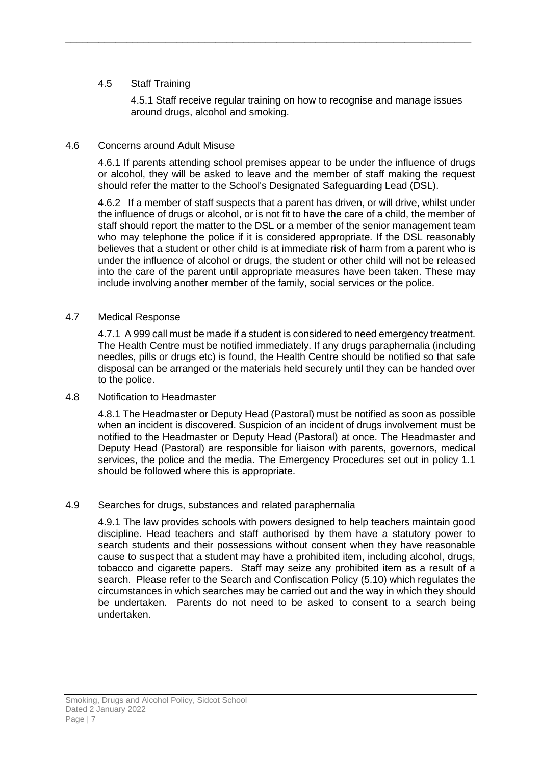#### 4.5 Staff Training

4.5.1 Staff receive regular training on how to recognise and manage issues around drugs, alcohol and smoking.

**\_\_\_\_\_\_\_\_\_\_\_\_\_\_\_\_\_\_\_\_\_\_\_\_\_\_\_\_\_\_\_\_\_\_\_\_\_\_\_\_\_\_\_\_\_\_\_\_\_\_\_\_\_\_\_\_\_\_\_\_\_\_\_\_\_\_\_\_\_\_\_\_\_**

#### 4.6 Concerns around Adult Misuse

4.6.1 If parents attending school premises appear to be under the influence of drugs or alcohol, they will be asked to leave and the member of staff making the request should refer the matter to the School's Designated Safeguarding Lead (DSL).

4.6.2 If a member of staff suspects that a parent has driven, or will drive, whilst under the influence of drugs or alcohol, or is not fit to have the care of a child, the member of staff should report the matter to the DSL or a member of the senior management team who may telephone the police if it is considered appropriate. If the DSL reasonably believes that a student or other child is at immediate risk of harm from a parent who is under the influence of alcohol or drugs, the student or other child will not be released into the care of the parent until appropriate measures have been taken. These may include involving another member of the family, social services or the police.

#### 4.7 Medical Response

4.7.1 A 999 call must be made if a student is considered to need emergency treatment. The Health Centre must be notified immediately. If any drugs paraphernalia (including needles, pills or drugs etc) is found, the Health Centre should be notified so that safe disposal can be arranged or the materials held securely until they can be handed over to the police.

#### 4.8 Notification to Headmaster

4.8.1 The Headmaster or Deputy Head (Pastoral) must be notified as soon as possible when an incident is discovered. Suspicion of an incident of drugs involvement must be notified to the Headmaster or Deputy Head (Pastoral) at once. The Headmaster and Deputy Head (Pastoral) are responsible for liaison with parents, governors, medical services, the police and the media. The Emergency Procedures set out in policy 1.1 should be followed where this is appropriate.

#### 4.9 Searches for drugs, substances and related paraphernalia

4.9.1 The law provides schools with powers designed to help teachers maintain good discipline. Head teachers and staff authorised by them have a statutory power to search students and their possessions without consent when they have reasonable cause to suspect that a student may have a prohibited item, including alcohol, drugs, tobacco and cigarette papers. Staff may seize any prohibited item as a result of a search. Please refer to the Search and Confiscation Policy (5.10) which regulates the circumstances in which searches may be carried out and the way in which they should be undertaken. Parents do not need to be asked to consent to a search being undertaken.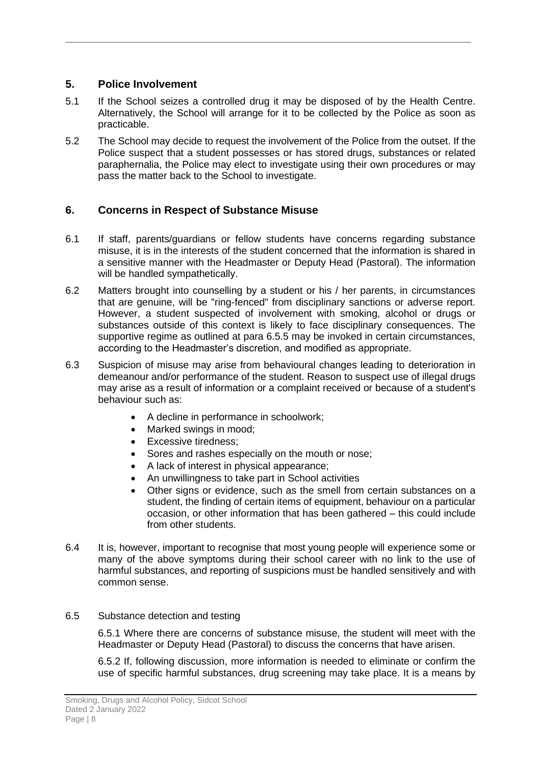### <span id="page-7-0"></span>**5. Police Involvement**

5.1 If the School seizes a controlled drug it may be disposed of by the Health Centre. Alternatively, the School will arrange for it to be collected by the Police as soon as practicable.

**\_\_\_\_\_\_\_\_\_\_\_\_\_\_\_\_\_\_\_\_\_\_\_\_\_\_\_\_\_\_\_\_\_\_\_\_\_\_\_\_\_\_\_\_\_\_\_\_\_\_\_\_\_\_\_\_\_\_\_\_\_\_\_\_\_\_\_\_\_\_\_\_\_**

5.2 The School may decide to request the involvement of the Police from the outset. If the Police suspect that a student possesses or has stored drugs, substances or related paraphernalia, the Police may elect to investigate using their own procedures or may pass the matter back to the School to investigate.

### <span id="page-7-1"></span>**6. Concerns in Respect of Substance Misuse**

- 6.1 If staff, parents/guardians or fellow students have concerns regarding substance misuse, it is in the interests of the student concerned that the information is shared in a sensitive manner with the Headmaster or Deputy Head (Pastoral). The information will be handled sympathetically.
- 6.2 Matters brought into counselling by a student or his / her parents, in circumstances that are genuine, will be "ring-fenced" from disciplinary sanctions or adverse report. However, a student suspected of involvement with smoking, alcohol or drugs or substances outside of this context is likely to face disciplinary consequences. The supportive regime as outlined at para 6.5.5 may be invoked in certain circumstances, according to the Headmaster's discretion, and modified as appropriate.
- 6.3 Suspicion of misuse may arise from behavioural changes leading to deterioration in demeanour and/or performance of the student. Reason to suspect use of illegal drugs may arise as a result of information or a complaint received or because of a student's behaviour such as:
	- A decline in performance in schoolwork;
	- Marked swings in mood;
	- Excessive tiredness;
	- Sores and rashes especially on the mouth or nose;
	- A lack of interest in physical appearance;
	- An unwillingness to take part in School activities
	- Other signs or evidence, such as the smell from certain substances on a student, the finding of certain items of equipment, behaviour on a particular occasion, or other information that has been gathered – this could include from other students.
- 6.4 It is, however, important to recognise that most young people will experience some or many of the above symptoms during their school career with no link to the use of harmful substances, and reporting of suspicions must be handled sensitively and with common sense.

#### 6.5 Substance detection and testing

6.5.1 Where there are concerns of substance misuse, the student will meet with the Headmaster or Deputy Head (Pastoral) to discuss the concerns that have arisen.

6.5.2 If, following discussion, more information is needed to eliminate or confirm the use of specific harmful substances, drug screening may take place. It is a means by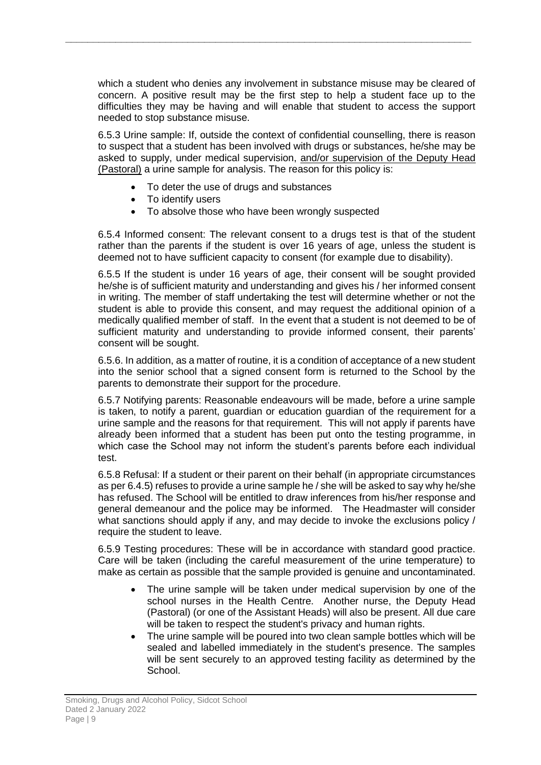which a student who denies any involvement in substance misuse may be cleared of concern. A positive result may be the first step to help a student face up to the difficulties they may be having and will enable that student to access the support needed to stop substance misuse.

**\_\_\_\_\_\_\_\_\_\_\_\_\_\_\_\_\_\_\_\_\_\_\_\_\_\_\_\_\_\_\_\_\_\_\_\_\_\_\_\_\_\_\_\_\_\_\_\_\_\_\_\_\_\_\_\_\_\_\_\_\_\_\_\_\_\_\_\_\_\_\_\_\_**

6.5.3 Urine sample: If, outside the context of confidential counselling, there is reason to suspect that a student has been involved with drugs or substances, he/she may be asked to supply, under medical supervision, and/or supervision of the Deputy Head (Pastoral) a urine sample for analysis. The reason for this policy is:

- To deter the use of drugs and substances
- To identify users
- To absolve those who have been wrongly suspected

6.5.4 Informed consent: The relevant consent to a drugs test is that of the student rather than the parents if the student is over 16 years of age, unless the student is deemed not to have sufficient capacity to consent (for example due to disability).

6.5.5 If the student is under 16 years of age, their consent will be sought provided he/she is of sufficient maturity and understanding and gives his / her informed consent in writing. The member of staff undertaking the test will determine whether or not the student is able to provide this consent, and may request the additional opinion of a medically qualified member of staff. In the event that a student is not deemed to be of sufficient maturity and understanding to provide informed consent, their parents' consent will be sought.

6.5.6. In addition, as a matter of routine, it is a condition of acceptance of a new student into the senior school that a signed consent form is returned to the School by the parents to demonstrate their support for the procedure.

6.5.7 Notifying parents: Reasonable endeavours will be made, before a urine sample is taken, to notify a parent, guardian or education guardian of the requirement for a urine sample and the reasons for that requirement. This will not apply if parents have already been informed that a student has been put onto the testing programme, in which case the School may not inform the student's parents before each individual test.

6.5.8 Refusal: If a student or their parent on their behalf (in appropriate circumstances as per 6.4.5) refuses to provide a urine sample he / she will be asked to say why he/she has refused. The School will be entitled to draw inferences from his/her response and general demeanour and the police may be informed. The Headmaster will consider what sanctions should apply if any, and may decide to invoke the exclusions policy / require the student to leave.

6.5.9 Testing procedures: These will be in accordance with standard good practice. Care will be taken (including the careful measurement of the urine temperature) to make as certain as possible that the sample provided is genuine and uncontaminated.

- The urine sample will be taken under medical supervision by one of the school nurses in the Health Centre. Another nurse, the Deputy Head (Pastoral) (or one of the Assistant Heads) will also be present. All due care will be taken to respect the student's privacy and human rights.
- The urine sample will be poured into two clean sample bottles which will be sealed and labelled immediately in the student's presence. The samples will be sent securely to an approved testing facility as determined by the School.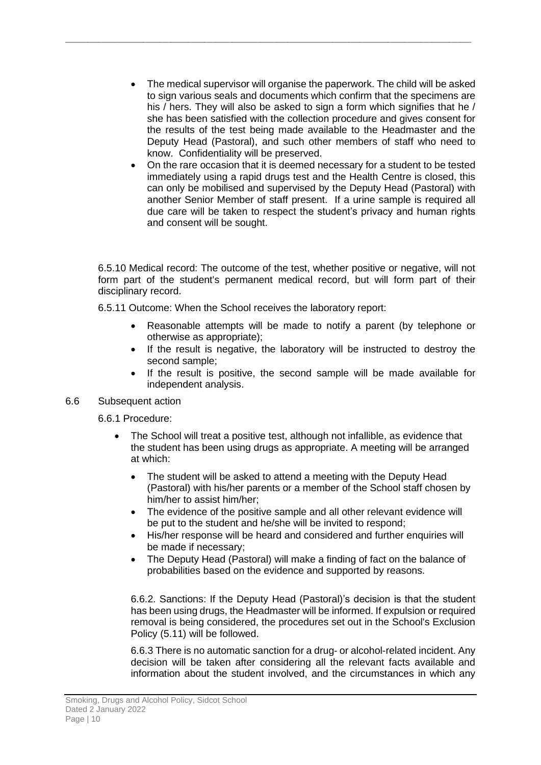The medical supervisor will organise the paperwork. The child will be asked to sign various seals and documents which confirm that the specimens are his / hers. They will also be asked to sign a form which signifies that he / she has been satisfied with the collection procedure and gives consent for the results of the test being made available to the Headmaster and the Deputy Head (Pastoral), and such other members of staff who need to know. Confidentiality will be preserved.

**\_\_\_\_\_\_\_\_\_\_\_\_\_\_\_\_\_\_\_\_\_\_\_\_\_\_\_\_\_\_\_\_\_\_\_\_\_\_\_\_\_\_\_\_\_\_\_\_\_\_\_\_\_\_\_\_\_\_\_\_\_\_\_\_\_\_\_\_\_\_\_\_\_**

• On the rare occasion that it is deemed necessary for a student to be tested immediately using a rapid drugs test and the Health Centre is closed, this can only be mobilised and supervised by the Deputy Head (Pastoral) with another Senior Member of staff present. If a urine sample is required all due care will be taken to respect the student's privacy and human rights and consent will be sought.

6.5.10 Medical record: The outcome of the test, whether positive or negative, will not form part of the student's permanent medical record, but will form part of their disciplinary record.

6.5.11 Outcome: When the School receives the laboratory report:

- Reasonable attempts will be made to notify a parent (by telephone or otherwise as appropriate);
- If the result is negative, the laboratory will be instructed to destroy the second sample;
- If the result is positive, the second sample will be made available for independent analysis.
- 6.6 Subsequent action

6.6.1 Procedure:

- The School will treat a positive test, although not infallible, as evidence that the student has been using drugs as appropriate. A meeting will be arranged at which:
	- The student will be asked to attend a meeting with the Deputy Head (Pastoral) with his/her parents or a member of the School staff chosen by him/her to assist him/her;
	- The evidence of the positive sample and all other relevant evidence will be put to the student and he/she will be invited to respond;
	- His/her response will be heard and considered and further enquiries will be made if necessary;
	- The Deputy Head (Pastoral) will make a finding of fact on the balance of probabilities based on the evidence and supported by reasons.

6.6.2. Sanctions: If the Deputy Head (Pastoral)'s decision is that the student has been using drugs, the Headmaster will be informed. If expulsion or required removal is being considered, the procedures set out in the School's Exclusion Policy (5.11) will be followed.

6.6.3 There is no automatic sanction for a drug‐ or alcohol-related incident. Any decision will be taken after considering all the relevant facts available and information about the student involved, and the circumstances in which any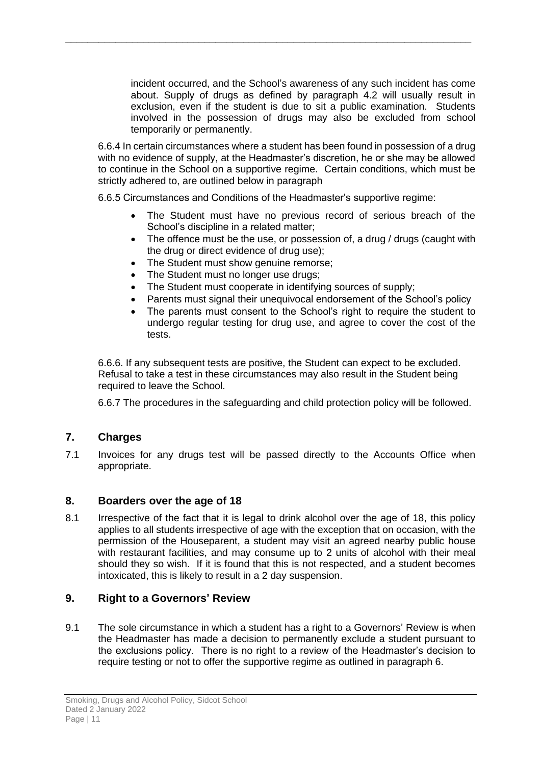incident occurred, and the School's awareness of any such incident has come about. Supply of drugs as defined by paragraph 4.2 will usually result in exclusion, even if the student is due to sit a public examination. Students involved in the possession of drugs may also be excluded from school temporarily or permanently.

6.6.4 In certain circumstances where a student has been found in possession of a drug with no evidence of supply, at the Headmaster's discretion, he or she may be allowed to continue in the School on a supportive regime. Certain conditions, which must be strictly adhered to, are outlined below in paragraph

6.6.5 Circumstances and Conditions of the Headmaster's supportive regime:

**\_\_\_\_\_\_\_\_\_\_\_\_\_\_\_\_\_\_\_\_\_\_\_\_\_\_\_\_\_\_\_\_\_\_\_\_\_\_\_\_\_\_\_\_\_\_\_\_\_\_\_\_\_\_\_\_\_\_\_\_\_\_\_\_\_\_\_\_\_\_\_\_\_**

- The Student must have no previous record of serious breach of the School's discipline in a related matter;
- The offence must be the use, or possession of, a drug / drugs (caught with the drug or direct evidence of drug use);
- The Student must show genuine remorse;
- The Student must no longer use drugs;
- The Student must cooperate in identifying sources of supply;
- Parents must signal their unequivocal endorsement of the School's policy
- The parents must consent to the School's right to require the student to undergo regular testing for drug use, and agree to cover the cost of the tests.

6.6.6. If any subsequent tests are positive, the Student can expect to be excluded. Refusal to take a test in these circumstances may also result in the Student being required to leave the School.

6.6.7 The procedures in the safeguarding and child protection policy will be followed.

### <span id="page-10-0"></span>**7. Charges**

7.1 Invoices for any drugs test will be passed directly to the Accounts Office when appropriate.

#### **8. Boarders over the age of 18**

8.1 Irrespective of the fact that it is legal to drink alcohol over the age of 18, this policy applies to all students irrespective of age with the exception that on occasion, with the permission of the Houseparent, a student may visit an agreed nearby public house with restaurant facilities, and may consume up to 2 units of alcohol with their meal should they so wish. If it is found that this is not respected, and a student becomes intoxicated, this is likely to result in a 2 day suspension.

#### <span id="page-10-1"></span>**9. Right to a Governors' Review**

9.1 The sole circumstance in which a student has a right to a Governors' Review is when the Headmaster has made a decision to permanently exclude a student pursuant to the exclusions policy. There is no right to a review of the Headmaster's decision to require testing or not to offer the supportive regime as outlined in paragraph 6.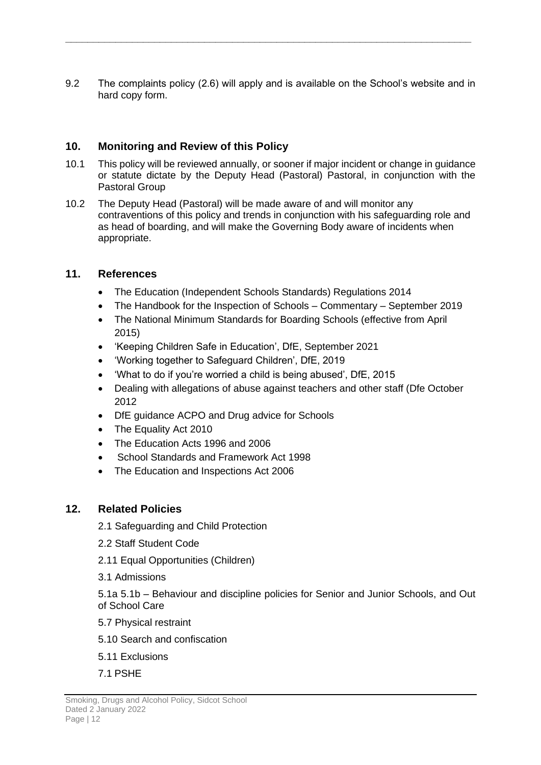9.2 The complaints policy (2.6) will apply and is available on the School's website and in hard copy form.

**\_\_\_\_\_\_\_\_\_\_\_\_\_\_\_\_\_\_\_\_\_\_\_\_\_\_\_\_\_\_\_\_\_\_\_\_\_\_\_\_\_\_\_\_\_\_\_\_\_\_\_\_\_\_\_\_\_\_\_\_\_\_\_\_\_\_\_\_\_\_\_\_\_**

### <span id="page-11-0"></span>**10. Monitoring and Review of this Policy**

- 10.1 This policy will be reviewed annually, or sooner if major incident or change in guidance or statute dictate by the Deputy Head (Pastoral) Pastoral, in conjunction with the Pastoral Group
- 10.2 The Deputy Head (Pastoral) will be made aware of and will monitor any contraventions of this policy and trends in conjunction with his safeguarding role and as head of boarding, and will make the Governing Body aware of incidents when appropriate.

### <span id="page-11-1"></span>**11. References**

- The Education (Independent Schools Standards) Regulations 2014
- The Handbook for the Inspection of Schools Commentary September 2019
- The National Minimum Standards for Boarding Schools (effective from April 2015)
- 'Keeping Children Safe in Education', DfE, September 2021
- 'Working together to Safeguard Children', DfE, 2019
- 'What to do if you're worried a child is being abused', DfE, 2015
- Dealing with allegations of abuse against teachers and other staff (Dfe October 2012
- DfE guidance ACPO and Drug advice for Schools
- The Equality Act 2010
- The Education Acts 1996 and 2006
- School Standards and Framework Act 1998
- The Education and Inspections Act 2006

### <span id="page-11-2"></span>**12. Related Policies**

- 2.1 Safeguarding and Child Protection
- 2.2 Staff Student Code
- 2.11 Equal Opportunities (Children)
- 3.1 Admissions

5.1a 5.1b – Behaviour and discipline policies for Senior and Junior Schools, and Out of School Care

- 5.7 Physical restraint
- 5.10 Search and confiscation
- 5.11 Exclusions
- 7.1 PSHE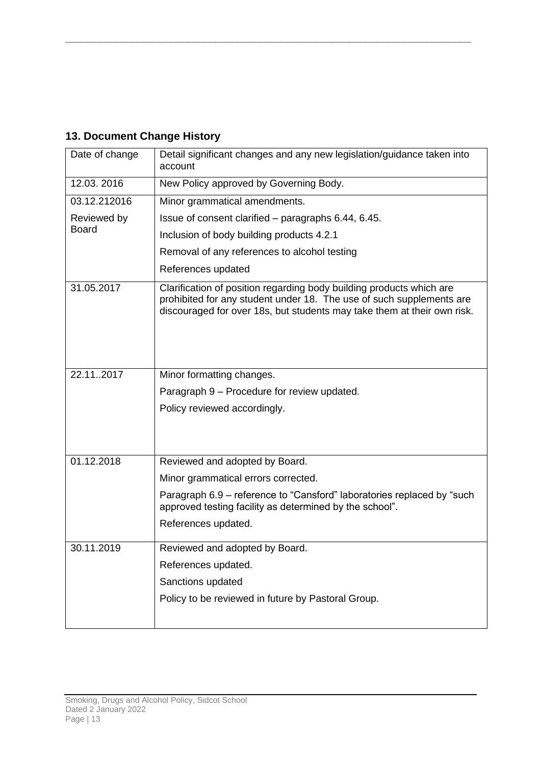## <span id="page-12-0"></span>**13. Document Change History**

| Date of change | Detail significant changes and any new legislation/guidance taken into<br>account                                                                                                                                       |
|----------------|-------------------------------------------------------------------------------------------------------------------------------------------------------------------------------------------------------------------------|
| 12.03.2016     | New Policy approved by Governing Body.                                                                                                                                                                                  |
| 03.12.212016   | Minor grammatical amendments.                                                                                                                                                                                           |
| Reviewed by    | Issue of consent clarified – paragraphs 6.44, 6.45.                                                                                                                                                                     |
| <b>Board</b>   | Inclusion of body building products 4.2.1                                                                                                                                                                               |
|                | Removal of any references to alcohol testing                                                                                                                                                                            |
|                | References updated                                                                                                                                                                                                      |
| 31.05.2017     | Clarification of position regarding body building products which are<br>prohibited for any student under 18. The use of such supplements are<br>discouraged for over 18s, but students may take them at their own risk. |
| 22.112017      | Minor formatting changes.                                                                                                                                                                                               |
|                | Paragraph 9 – Procedure for review updated.                                                                                                                                                                             |
|                | Policy reviewed accordingly.                                                                                                                                                                                            |
|                |                                                                                                                                                                                                                         |
| 01.12.2018     | Reviewed and adopted by Board.                                                                                                                                                                                          |
|                | Minor grammatical errors corrected.                                                                                                                                                                                     |
|                | Paragraph 6.9 – reference to "Cansford" laboratories replaced by "such<br>approved testing facility as determined by the school".                                                                                       |
|                | References updated.                                                                                                                                                                                                     |
| 30.11.2019     | Reviewed and adopted by Board.                                                                                                                                                                                          |
|                | References updated.                                                                                                                                                                                                     |
|                | Sanctions updated                                                                                                                                                                                                       |
|                | Policy to be reviewed in future by Pastoral Group.                                                                                                                                                                      |
|                |                                                                                                                                                                                                                         |